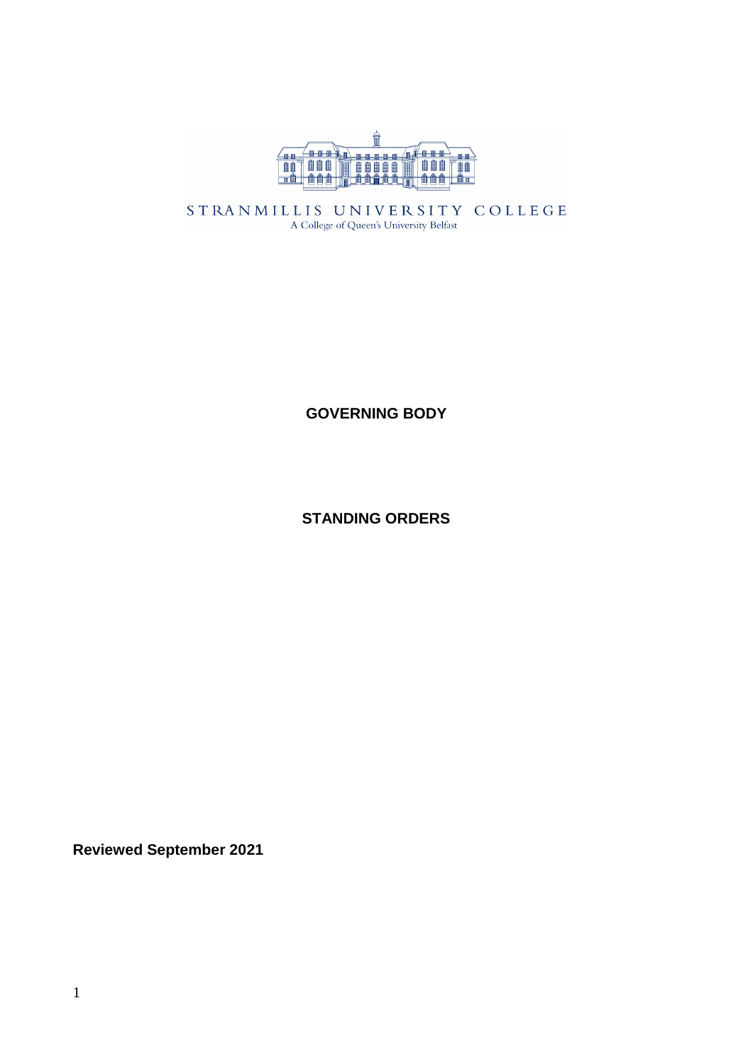

STRANMILLIS UNIVERSITY COLLEGE A College of Queen's University Belfast

**GOVERNING BODY**

**STANDING ORDERS**

**Reviewed September 2021**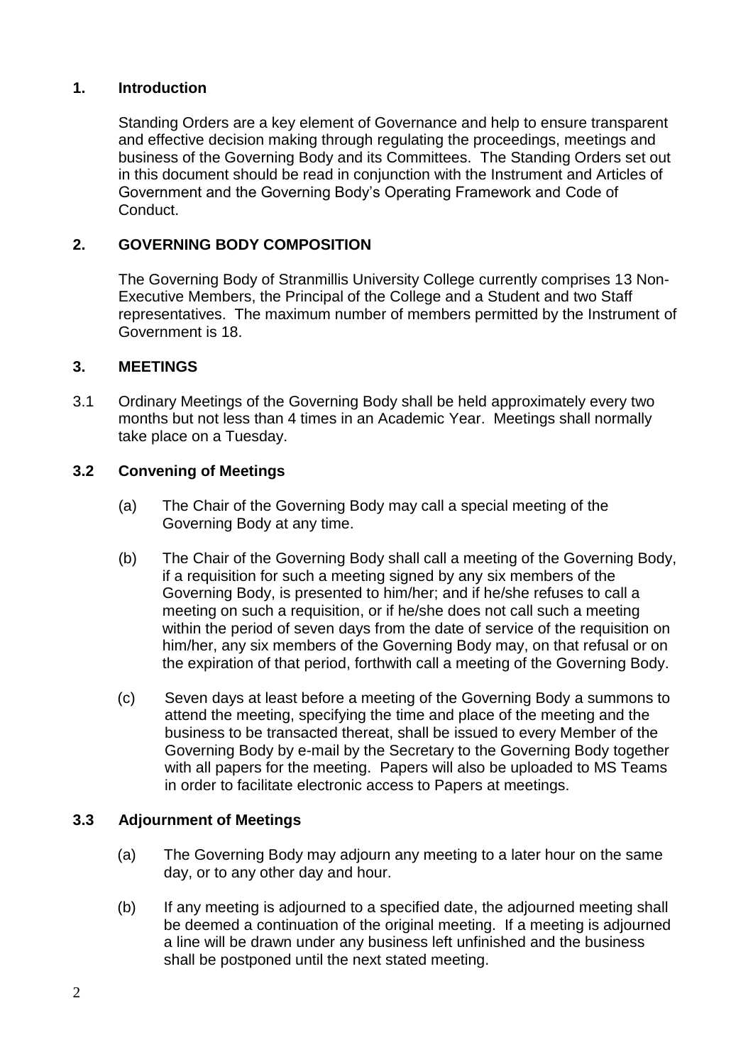## **1. Introduction**

Standing Orders are a key element of Governance and help to ensure transparent and effective decision making through regulating the proceedings, meetings and business of the Governing Body and its Committees. The Standing Orders set out in this document should be read in conjunction with the Instrument and Articles of Government and the Governing Body's Operating Framework and Code of Conduct.

## **2. GOVERNING BODY COMPOSITION**

The Governing Body of Stranmillis University College currently comprises 13 Non-Executive Members, the Principal of the College and a Student and two Staff representatives. The maximum number of members permitted by the Instrument of Government is 18.

## **3. MEETINGS**

3.1 Ordinary Meetings of the Governing Body shall be held approximately every two months but not less than 4 times in an Academic Year. Meetings shall normally take place on a Tuesday.

## **3.2 Convening of Meetings**

- (a) The Chair of the Governing Body may call a special meeting of the Governing Body at any time.
- (b) The Chair of the Governing Body shall call a meeting of the Governing Body, if a requisition for such a meeting signed by any six members of the Governing Body, is presented to him/her; and if he/she refuses to call a meeting on such a requisition, or if he/she does not call such a meeting within the period of seven days from the date of service of the requisition on him/her, any six members of the Governing Body may, on that refusal or on the expiration of that period, forthwith call a meeting of the Governing Body.
- (c) Seven days at least before a meeting of the Governing Body a summons to attend the meeting, specifying the time and place of the meeting and the business to be transacted thereat, shall be issued to every Member of the Governing Body by e-mail by the Secretary to the Governing Body together with all papers for the meeting. Papers will also be uploaded to MS Teams in order to facilitate electronic access to Papers at meetings.

## **3.3 Adjournment of Meetings**

- (a) The Governing Body may adjourn any meeting to a later hour on the same day, or to any other day and hour.
- (b) If any meeting is adjourned to a specified date, the adjourned meeting shall be deemed a continuation of the original meeting. If a meeting is adjourned a line will be drawn under any business left unfinished and the business shall be postponed until the next stated meeting.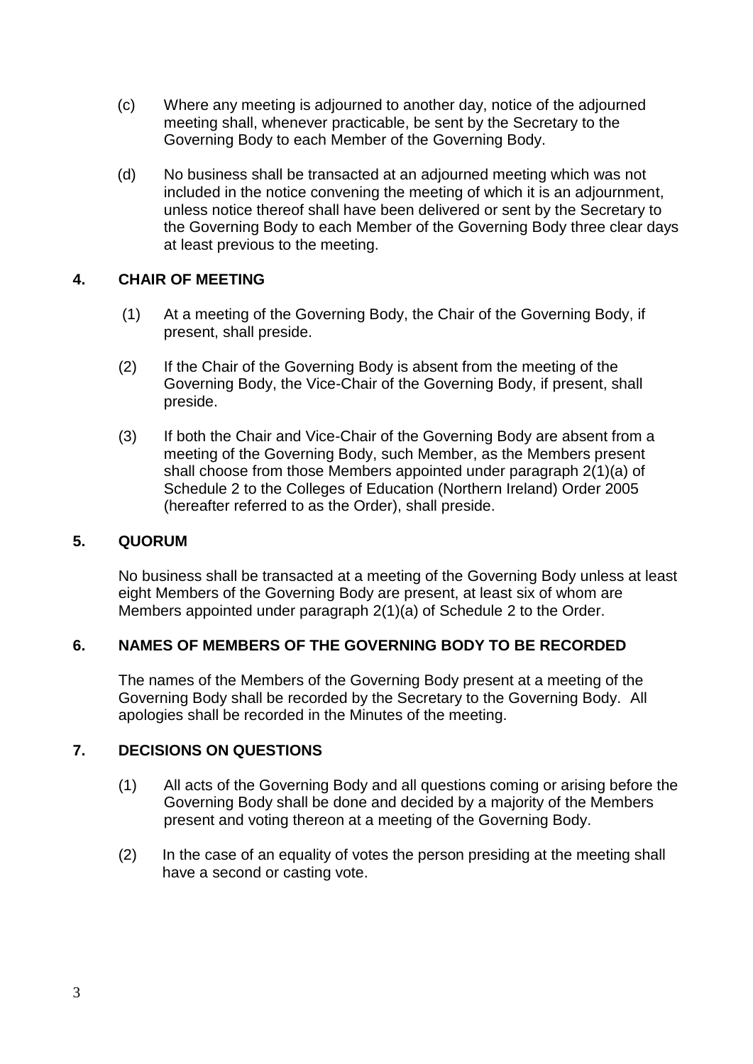- (c) Where any meeting is adjourned to another day, notice of the adjourned meeting shall, whenever practicable, be sent by the Secretary to the Governing Body to each Member of the Governing Body.
- (d) No business shall be transacted at an adjourned meeting which was not included in the notice convening the meeting of which it is an adjournment, unless notice thereof shall have been delivered or sent by the Secretary to the Governing Body to each Member of the Governing Body three clear days at least previous to the meeting.

## **4. CHAIR OF MEETING**

- (1) At a meeting of the Governing Body, the Chair of the Governing Body, if present, shall preside.
- (2) If the Chair of the Governing Body is absent from the meeting of the Governing Body, the Vice-Chair of the Governing Body, if present, shall preside.
- (3) If both the Chair and Vice-Chair of the Governing Body are absent from a meeting of the Governing Body, such Member, as the Members present shall choose from those Members appointed under paragraph 2(1)(a) of Schedule 2 to the Colleges of Education (Northern Ireland) Order 2005 (hereafter referred to as the Order), shall preside.

## **5. QUORUM**

No business shall be transacted at a meeting of the Governing Body unless at least eight Members of the Governing Body are present, at least six of whom are Members appointed under paragraph 2(1)(a) of Schedule 2 to the Order.

# **6. NAMES OF MEMBERS OF THE GOVERNING BODY TO BE RECORDED**

The names of the Members of the Governing Body present at a meeting of the Governing Body shall be recorded by the Secretary to the Governing Body. All apologies shall be recorded in the Minutes of the meeting.

# **7. DECISIONS ON QUESTIONS**

- (1) All acts of the Governing Body and all questions coming or arising before the Governing Body shall be done and decided by a majority of the Members present and voting thereon at a meeting of the Governing Body.
- (2) In the case of an equality of votes the person presiding at the meeting shall have a second or casting vote.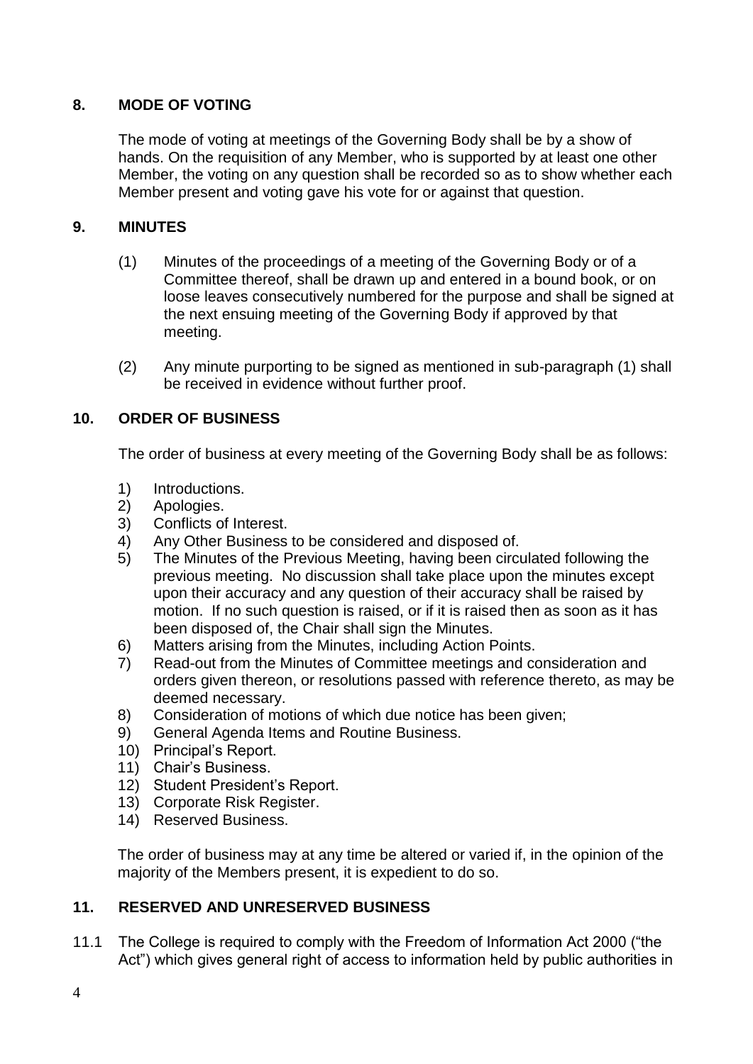# **8. MODE OF VOTING**

The mode of voting at meetings of the Governing Body shall be by a show of hands. On the requisition of any Member, who is supported by at least one other Member, the voting on any question shall be recorded so as to show whether each Member present and voting gave his vote for or against that question.

## **9. MINUTES**

- (1) Minutes of the proceedings of a meeting of the Governing Body or of a Committee thereof, shall be drawn up and entered in a bound book, or on loose leaves consecutively numbered for the purpose and shall be signed at the next ensuing meeting of the Governing Body if approved by that meeting.
- (2) Any minute purporting to be signed as mentioned in sub-paragraph (1) shall be received in evidence without further proof.

# **10. ORDER OF BUSINESS**

The order of business at every meeting of the Governing Body shall be as follows:

- 1) Introductions.<br>2) Apologies.
- Apologies.
- 3) Conflicts of Interest.
- 4) Any Other Business to be considered and disposed of.
- 5) The Minutes of the Previous Meeting, having been circulated following the previous meeting. No discussion shall take place upon the minutes except upon their accuracy and any question of their accuracy shall be raised by motion. If no such question is raised, or if it is raised then as soon as it has been disposed of, the Chair shall sign the Minutes.
- 6) Matters arising from the Minutes, including Action Points.
- 7) Read-out from the Minutes of Committee meetings and consideration and orders given thereon, or resolutions passed with reference thereto, as may be deemed necessary.
- 8) Consideration of motions of which due notice has been given;<br>9) General Agenda Items and Routine Business.
- 9) General Agenda Items and Routine Business.
- 10) Principal's Report.
- 11) Chair's Business.
- 12) Student President's Report.
- 13) Corporate Risk Register.
- 14) Reserved Business.

The order of business may at any time be altered or varied if, in the opinion of the majority of the Members present, it is expedient to do so.

## **11. RESERVED AND UNRESERVED BUSINESS**

11.1 The College is required to comply with the Freedom of Information Act 2000 ("the Act") which gives general right of access to information held by public authorities in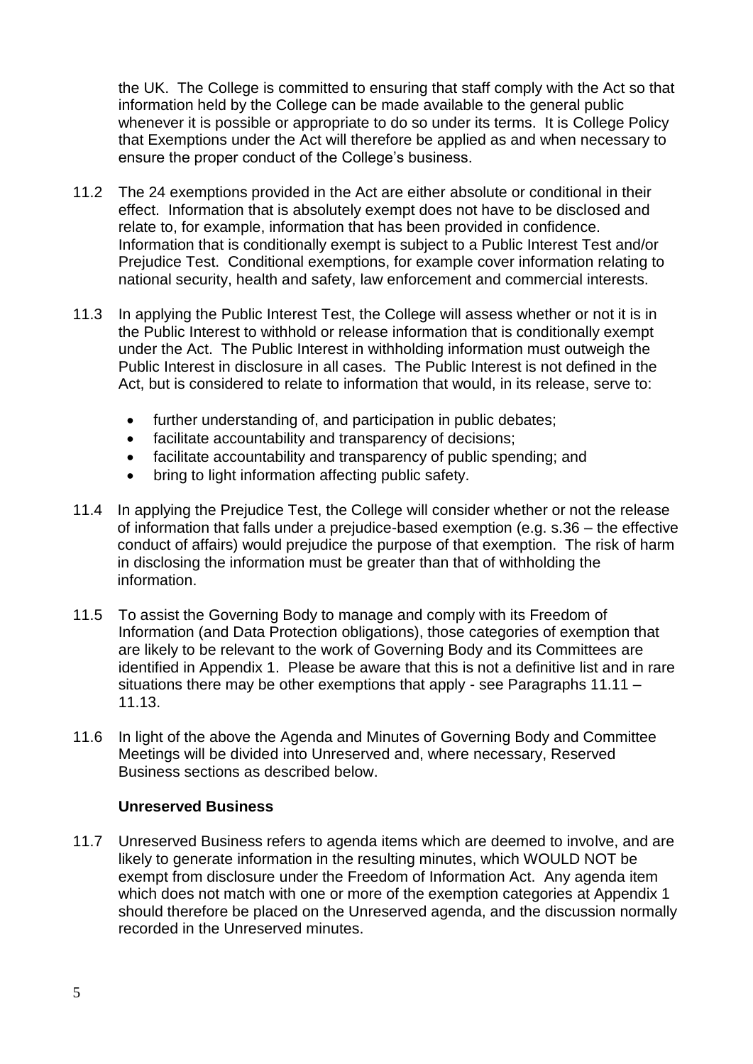the UK. The College is committed to ensuring that staff comply with the Act so that information held by the College can be made available to the general public whenever it is possible or appropriate to do so under its terms. It is College Policy that Exemptions under the Act will therefore be applied as and when necessary to ensure the proper conduct of the College's business.

- 11.2 The 24 exemptions provided in the Act are either absolute or conditional in their effect. Information that is absolutely exempt does not have to be disclosed and relate to, for example, information that has been provided in confidence. Information that is conditionally exempt is subject to a Public Interest Test and/or Prejudice Test. Conditional exemptions, for example cover information relating to national security, health and safety, law enforcement and commercial interests.
- 11.3 In applying the Public Interest Test, the College will assess whether or not it is in the Public Interest to withhold or release information that is conditionally exempt under the Act. The Public Interest in withholding information must outweigh the Public Interest in disclosure in all cases. The Public Interest is not defined in the Act, but is considered to relate to information that would, in its release, serve to:
	- further understanding of, and participation in public debates;
	- facilitate accountability and transparency of decisions;
	- facilitate accountability and transparency of public spending; and
	- bring to light information affecting public safety.
- 11.4 In applying the Prejudice Test, the College will consider whether or not the release of information that falls under a prejudice-based exemption (e.g. s.36 – the effective conduct of affairs) would prejudice the purpose of that exemption. The risk of harm in disclosing the information must be greater than that of withholding the information.
- 11.5 To assist the Governing Body to manage and comply with its Freedom of Information (and Data Protection obligations), those categories of exemption that are likely to be relevant to the work of Governing Body and its Committees are identified in Appendix 1. Please be aware that this is not a definitive list and in rare situations there may be other exemptions that apply - see Paragraphs 11.11 – 11.13.
- 11.6 In light of the above the Agenda and Minutes of Governing Body and Committee Meetings will be divided into Unreserved and, where necessary, Reserved Business sections as described below.

## **Unreserved Business**

11.7 Unreserved Business refers to agenda items which are deemed to involve, and are likely to generate information in the resulting minutes, which WOULD NOT be exempt from disclosure under the Freedom of Information Act. Any agenda item which does not match with one or more of the exemption categories at Appendix 1 should therefore be placed on the Unreserved agenda, and the discussion normally recorded in the Unreserved minutes.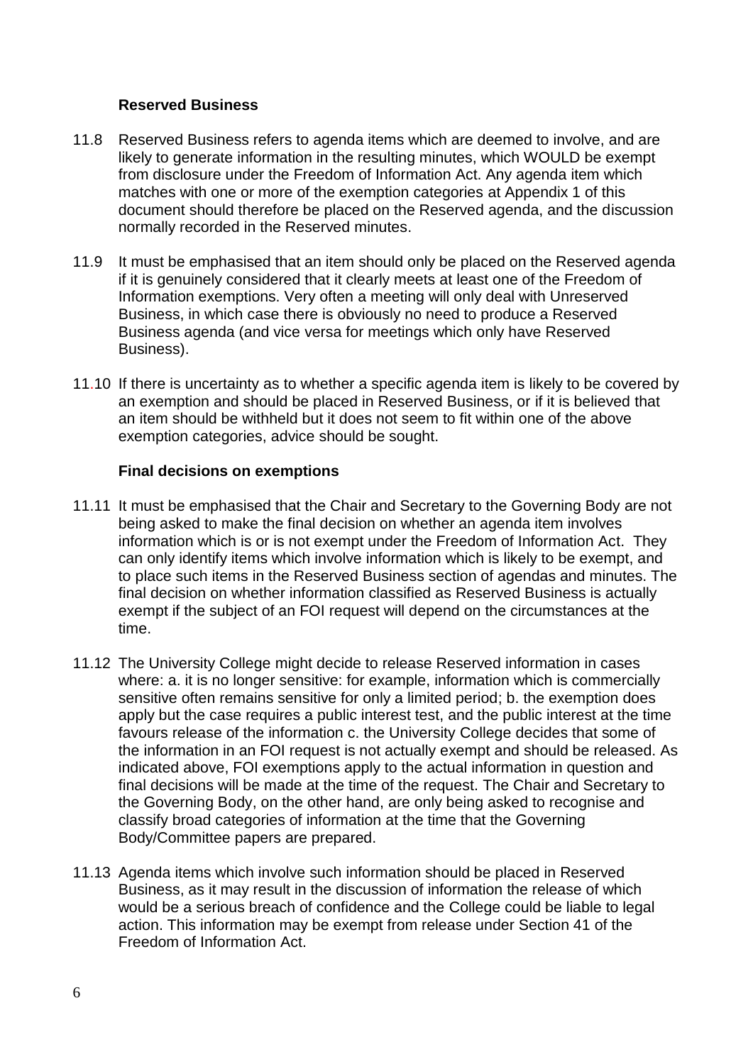## **Reserved Business**

- 11.8 Reserved Business refers to agenda items which are deemed to involve, and are likely to generate information in the resulting minutes, which WOULD be exempt from disclosure under the Freedom of Information Act. Any agenda item which matches with one or more of the exemption categories at Appendix 1 of this document should therefore be placed on the Reserved agenda, and the discussion normally recorded in the Reserved minutes.
- 11.9 It must be emphasised that an item should only be placed on the Reserved agenda if it is genuinely considered that it clearly meets at least one of the Freedom of Information exemptions. Very often a meeting will only deal with Unreserved Business, in which case there is obviously no need to produce a Reserved Business agenda (and vice versa for meetings which only have Reserved Business).
- 11.10 If there is uncertainty as to whether a specific agenda item is likely to be covered by an exemption and should be placed in Reserved Business, or if it is believed that an item should be withheld but it does not seem to fit within one of the above exemption categories, advice should be sought.

## **Final decisions on exemptions**

- 11.11 It must be emphasised that the Chair and Secretary to the Governing Body are not being asked to make the final decision on whether an agenda item involves information which is or is not exempt under the Freedom of Information Act. They can only identify items which involve information which is likely to be exempt, and to place such items in the Reserved Business section of agendas and minutes. The final decision on whether information classified as Reserved Business is actually exempt if the subject of an FOI request will depend on the circumstances at the time.
- 11.12 The University College might decide to release Reserved information in cases where: a. it is no longer sensitive: for example, information which is commercially sensitive often remains sensitive for only a limited period; b. the exemption does apply but the case requires a public interest test, and the public interest at the time favours release of the information c. the University College decides that some of the information in an FOI request is not actually exempt and should be released. As indicated above, FOI exemptions apply to the actual information in question and final decisions will be made at the time of the request. The Chair and Secretary to the Governing Body, on the other hand, are only being asked to recognise and classify broad categories of information at the time that the Governing Body/Committee papers are prepared.
- 11.13 Agenda items which involve such information should be placed in Reserved Business, as it may result in the discussion of information the release of which would be a serious breach of confidence and the College could be liable to legal action. This information may be exempt from release under Section 41 of the Freedom of Information Act.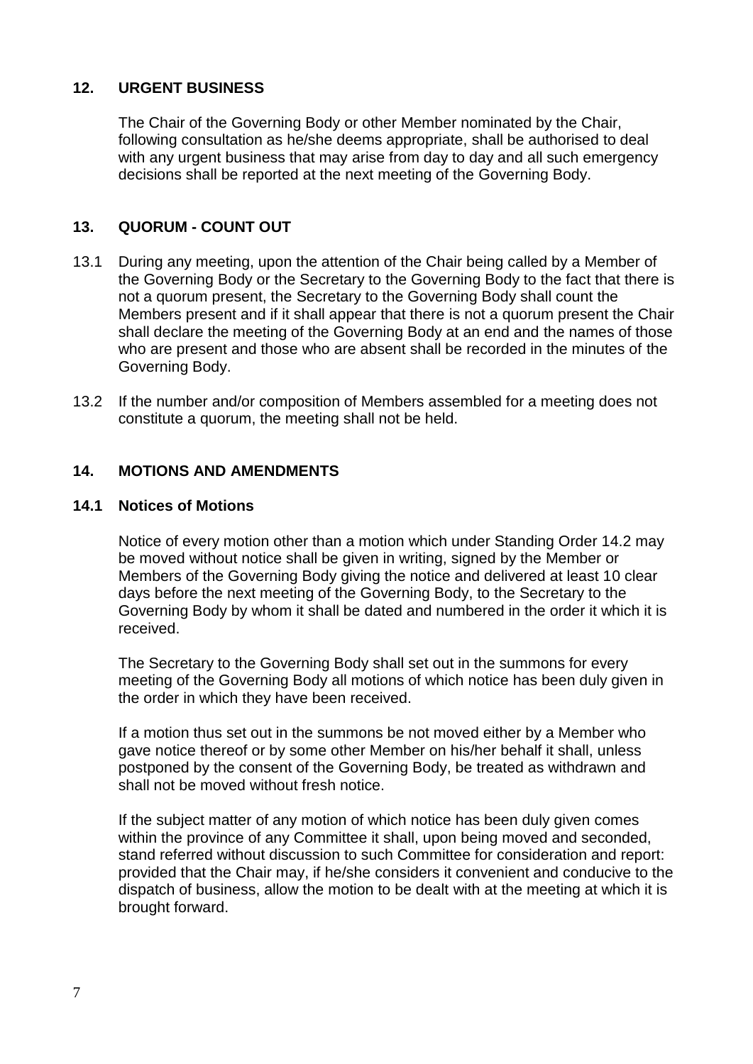## **12. URGENT BUSINESS**

The Chair of the Governing Body or other Member nominated by the Chair, following consultation as he/she deems appropriate, shall be authorised to deal with any urgent business that may arise from day to day and all such emergency decisions shall be reported at the next meeting of the Governing Body.

## **13. QUORUM - COUNT OUT**

- 13.1 During any meeting, upon the attention of the Chair being called by a Member of the Governing Body or the Secretary to the Governing Body to the fact that there is not a quorum present, the Secretary to the Governing Body shall count the Members present and if it shall appear that there is not a quorum present the Chair shall declare the meeting of the Governing Body at an end and the names of those who are present and those who are absent shall be recorded in the minutes of the Governing Body.
- 13.2 If the number and/or composition of Members assembled for a meeting does not constitute a quorum, the meeting shall not be held.

## **14. MOTIONS AND AMENDMENTS**

#### **14.1 Notices of Motions**

Notice of every motion other than a motion which under Standing Order 14.2 may be moved without notice shall be given in writing, signed by the Member or Members of the Governing Body giving the notice and delivered at least 10 clear days before the next meeting of the Governing Body, to the Secretary to the Governing Body by whom it shall be dated and numbered in the order it which it is received.

The Secretary to the Governing Body shall set out in the summons for every meeting of the Governing Body all motions of which notice has been duly given in the order in which they have been received.

If a motion thus set out in the summons be not moved either by a Member who gave notice thereof or by some other Member on his/her behalf it shall, unless postponed by the consent of the Governing Body, be treated as withdrawn and shall not be moved without fresh notice.

If the subject matter of any motion of which notice has been duly given comes within the province of any Committee it shall, upon being moved and seconded, stand referred without discussion to such Committee for consideration and report: provided that the Chair may, if he/she considers it convenient and conducive to the dispatch of business, allow the motion to be dealt with at the meeting at which it is brought forward.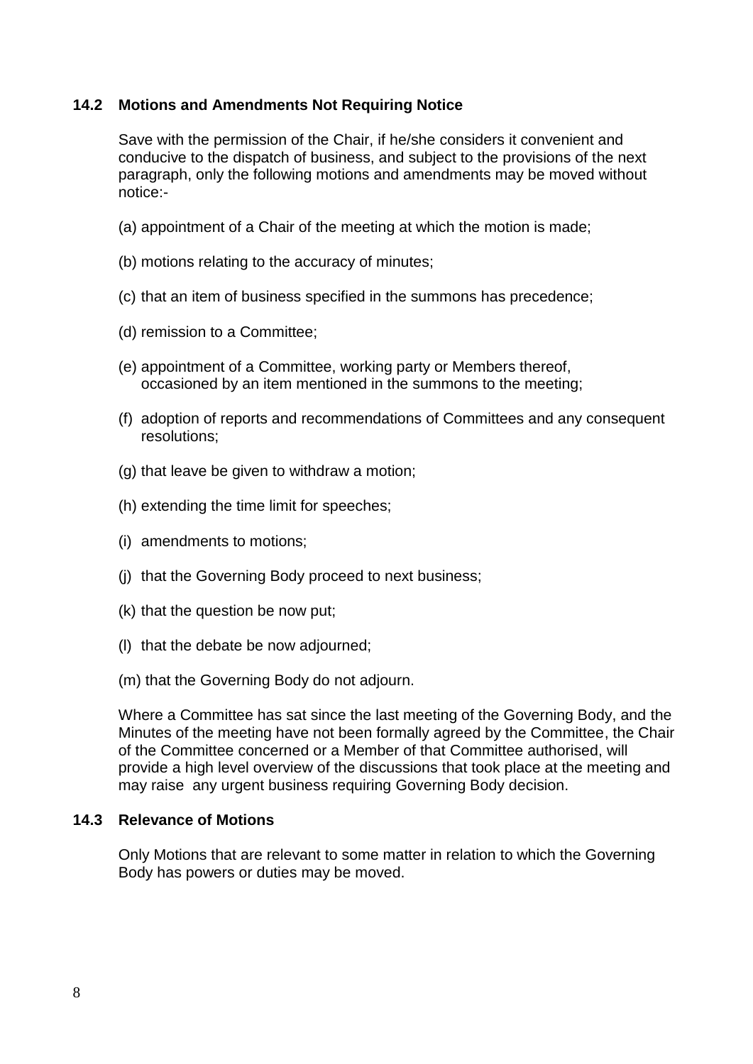## **14.2 Motions and Amendments Not Requiring Notice**

Save with the permission of the Chair, if he/she considers it convenient and conducive to the dispatch of business, and subject to the provisions of the next paragraph, only the following motions and amendments may be moved without notice:-

- (a) appointment of a Chair of the meeting at which the motion is made;
- (b) motions relating to the accuracy of minutes;
- (c) that an item of business specified in the summons has precedence;
- (d) remission to a Committee;
- (e) appointment of a Committee, working party or Members thereof, occasioned by an item mentioned in the summons to the meeting;
- (f) adoption of reports and recommendations of Committees and any consequent resolutions;
- (g) that leave be given to withdraw a motion;
- (h) extending the time limit for speeches;
- (i) amendments to motions;
- (j) that the Governing Body proceed to next business;
- (k) that the question be now put;
- (l) that the debate be now adjourned;
- (m) that the Governing Body do not adjourn.

Where a Committee has sat since the last meeting of the Governing Body, and the Minutes of the meeting have not been formally agreed by the Committee, the Chair of the Committee concerned or a Member of that Committee authorised, will provide a high level overview of the discussions that took place at the meeting and may raise any urgent business requiring Governing Body decision.

#### **14.3 Relevance of Motions**

Only Motions that are relevant to some matter in relation to which the Governing Body has powers or duties may be moved.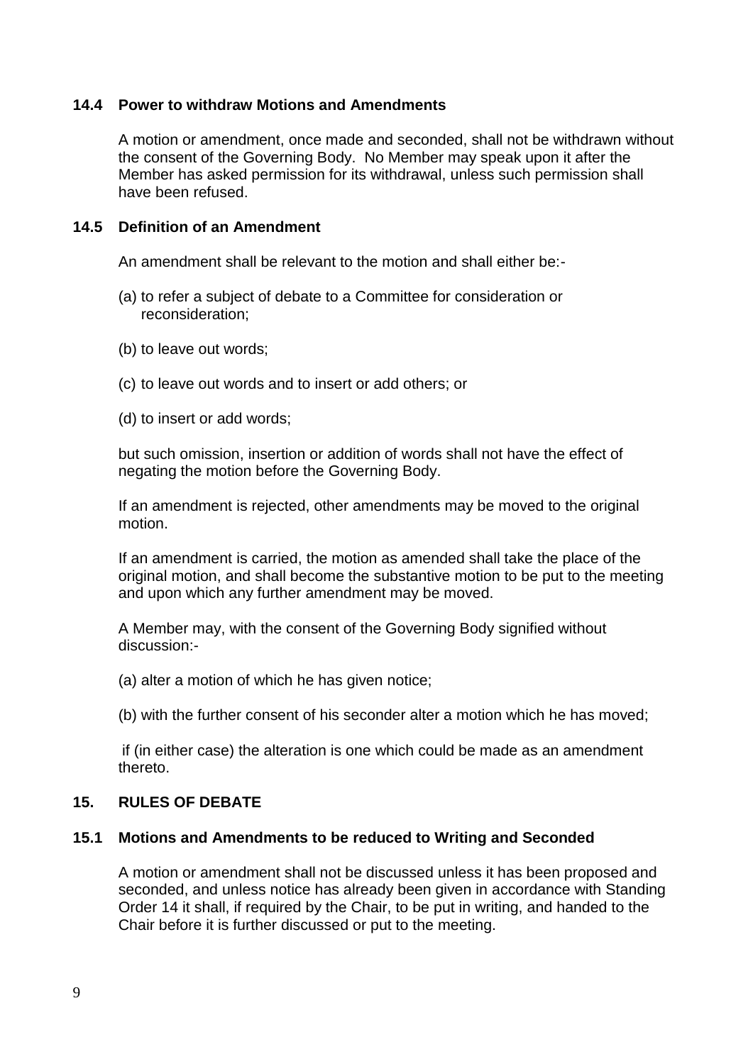#### **14.4 Power to withdraw Motions and Amendments**

A motion or amendment, once made and seconded, shall not be withdrawn without the consent of the Governing Body. No Member may speak upon it after the Member has asked permission for its withdrawal, unless such permission shall have been refused.

#### **14.5 Definition of an Amendment**

An amendment shall be relevant to the motion and shall either be:-

- (a) to refer a subject of debate to a Committee for consideration or reconsideration;
- (b) to leave out words;
- (c) to leave out words and to insert or add others; or

(d) to insert or add words;

but such omission, insertion or addition of words shall not have the effect of negating the motion before the Governing Body.

If an amendment is rejected, other amendments may be moved to the original motion.

If an amendment is carried, the motion as amended shall take the place of the original motion, and shall become the substantive motion to be put to the meeting and upon which any further amendment may be moved.

A Member may, with the consent of the Governing Body signified without discussion:-

(a) alter a motion of which he has given notice;

(b) with the further consent of his seconder alter a motion which he has moved;

if (in either case) the alteration is one which could be made as an amendment thereto.

## **15. RULES OF DEBATE**

## **15.1 Motions and Amendments to be reduced to Writing and Seconded**

A motion or amendment shall not be discussed unless it has been proposed and seconded, and unless notice has already been given in accordance with Standing Order 14 it shall, if required by the Chair, to be put in writing, and handed to the Chair before it is further discussed or put to the meeting.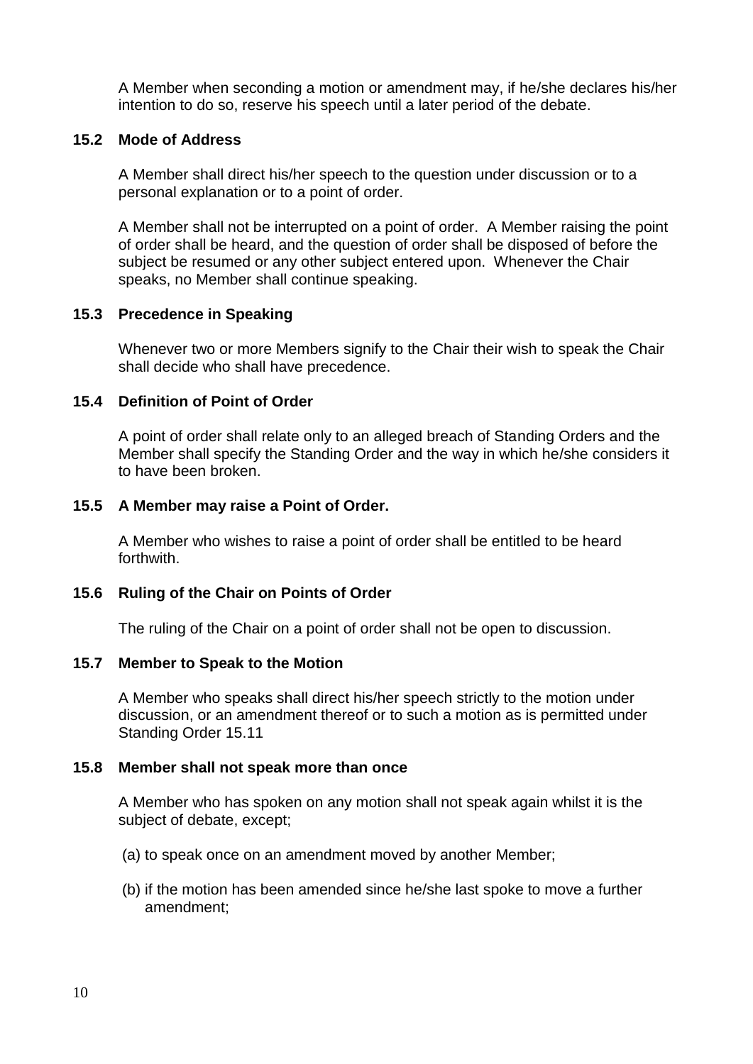A Member when seconding a motion or amendment may, if he/she declares his/her intention to do so, reserve his speech until a later period of the debate.

## **15.2 Mode of Address**

A Member shall direct his/her speech to the question under discussion or to a personal explanation or to a point of order.

A Member shall not be interrupted on a point of order. A Member raising the point of order shall be heard, and the question of order shall be disposed of before the subject be resumed or any other subject entered upon. Whenever the Chair speaks, no Member shall continue speaking.

## **15.3 Precedence in Speaking**

Whenever two or more Members signify to the Chair their wish to speak the Chair shall decide who shall have precedence.

## **15.4 Definition of Point of Order**

A point of order shall relate only to an alleged breach of Standing Orders and the Member shall specify the Standing Order and the way in which he/she considers it to have been broken.

## **15.5 A Member may raise a Point of Order.**

A Member who wishes to raise a point of order shall be entitled to be heard forthwith.

## **15.6 Ruling of the Chair on Points of Order**

The ruling of the Chair on a point of order shall not be open to discussion.

## **15.7 Member to Speak to the Motion**

A Member who speaks shall direct his/her speech strictly to the motion under discussion, or an amendment thereof or to such a motion as is permitted under Standing Order 15.11

## **15.8 Member shall not speak more than once**

A Member who has spoken on any motion shall not speak again whilst it is the subject of debate, except;

- (a) to speak once on an amendment moved by another Member;
- (b) if the motion has been amended since he/she last spoke to move a further amendment;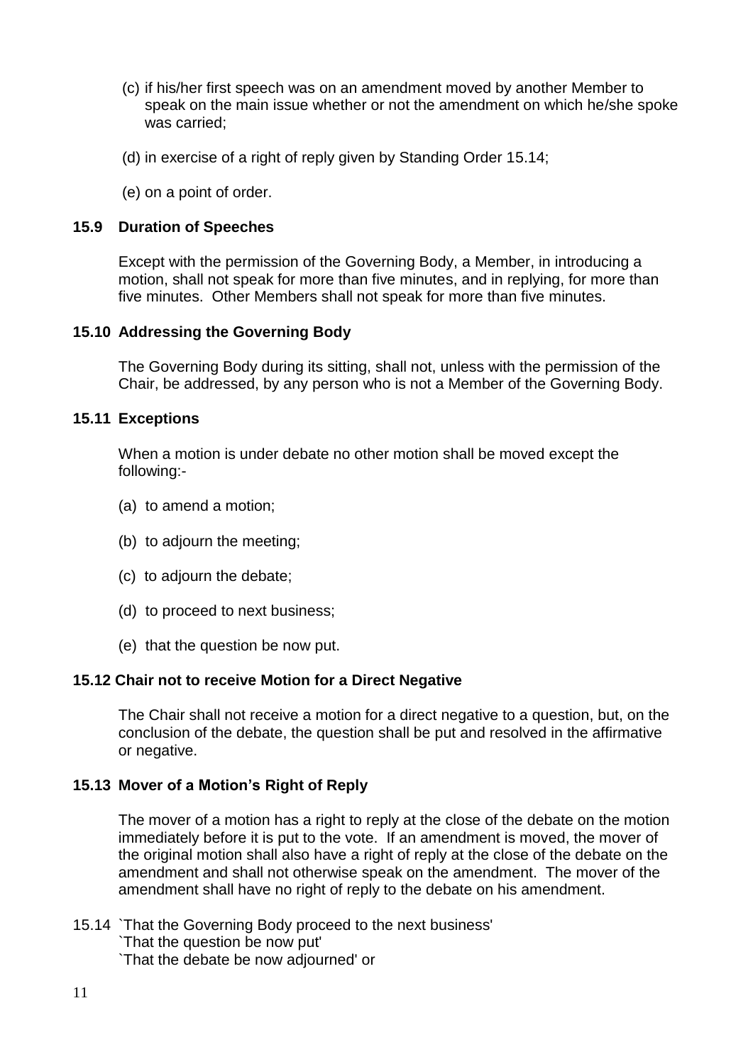- (c) if his/her first speech was on an amendment moved by another Member to speak on the main issue whether or not the amendment on which he/she spoke was carried;
- (d) in exercise of a right of reply given by Standing Order 15.14;
- (e) on a point of order.

#### **15.9 Duration of Speeches**

Except with the permission of the Governing Body, a Member, in introducing a motion, shall not speak for more than five minutes, and in replying, for more than five minutes. Other Members shall not speak for more than five minutes.

#### **15.10 Addressing the Governing Body**

The Governing Body during its sitting, shall not, unless with the permission of the Chair, be addressed, by any person who is not a Member of the Governing Body.

#### **15.11 Exceptions**

When a motion is under debate no other motion shall be moved except the following:-

- (a) to amend a motion;
- (b) to adjourn the meeting;
- (c) to adjourn the debate;
- (d) to proceed to next business;
- (e) that the question be now put.

#### **15.12 Chair not to receive Motion for a Direct Negative**

The Chair shall not receive a motion for a direct negative to a question, but, on the conclusion of the debate, the question shall be put and resolved in the affirmative or negative.

## **15.13 Mover of a Motion's Right of Reply**

The mover of a motion has a right to reply at the close of the debate on the motion immediately before it is put to the vote. If an amendment is moved, the mover of the original motion shall also have a right of reply at the close of the debate on the amendment and shall not otherwise speak on the amendment. The mover of the amendment shall have no right of reply to the debate on his amendment.

15.14 `That the Governing Body proceed to the next business' `That the question be now put' `That the debate be now adjourned' or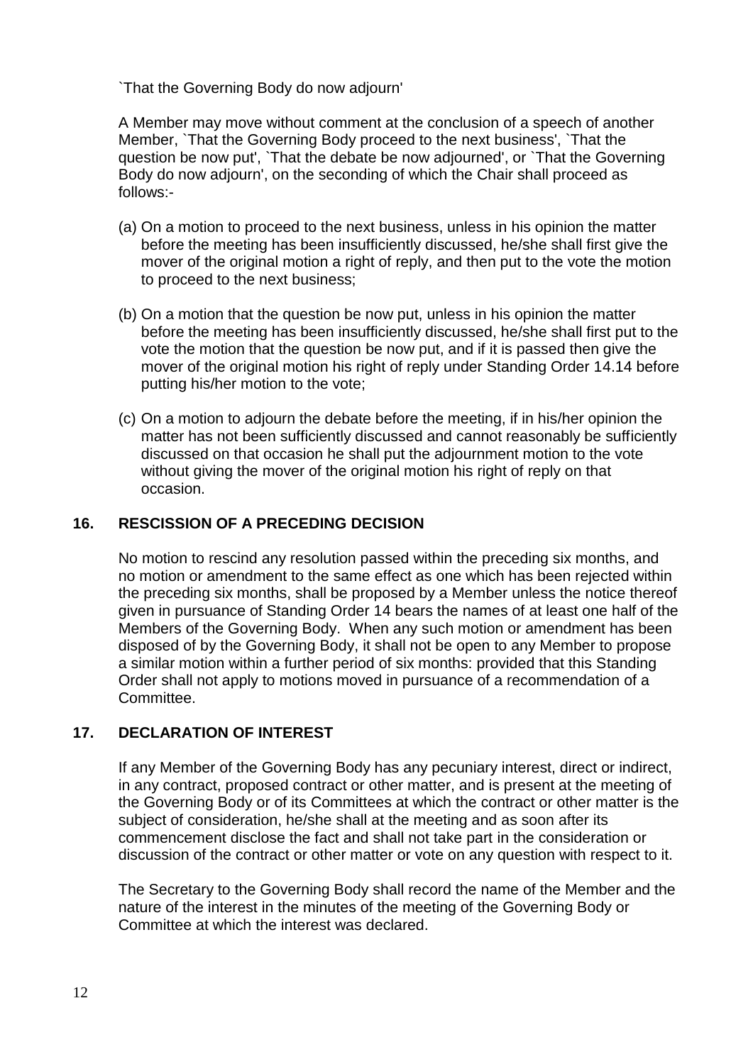`That the Governing Body do now adjourn'

A Member may move without comment at the conclusion of a speech of another Member, `That the Governing Body proceed to the next business', `That the question be now put', `That the debate be now adjourned', or `That the Governing Body do now adjourn', on the seconding of which the Chair shall proceed as follows:-

- (a) On a motion to proceed to the next business, unless in his opinion the matter before the meeting has been insufficiently discussed, he/she shall first give the mover of the original motion a right of reply, and then put to the vote the motion to proceed to the next business;
- (b) On a motion that the question be now put, unless in his opinion the matter before the meeting has been insufficiently discussed, he/she shall first put to the vote the motion that the question be now put, and if it is passed then give the mover of the original motion his right of reply under Standing Order 14.14 before putting his/her motion to the vote;
- (c) On a motion to adjourn the debate before the meeting, if in his/her opinion the matter has not been sufficiently discussed and cannot reasonably be sufficiently discussed on that occasion he shall put the adjournment motion to the vote without giving the mover of the original motion his right of reply on that occasion.

## **16. RESCISSION OF A PRECEDING DECISION**

No motion to rescind any resolution passed within the preceding six months, and no motion or amendment to the same effect as one which has been rejected within the preceding six months, shall be proposed by a Member unless the notice thereof given in pursuance of Standing Order 14 bears the names of at least one half of the Members of the Governing Body. When any such motion or amendment has been disposed of by the Governing Body, it shall not be open to any Member to propose a similar motion within a further period of six months: provided that this Standing Order shall not apply to motions moved in pursuance of a recommendation of a Committee.

# **17. DECLARATION OF INTEREST**

If any Member of the Governing Body has any pecuniary interest, direct or indirect, in any contract, proposed contract or other matter, and is present at the meeting of the Governing Body or of its Committees at which the contract or other matter is the subject of consideration, he/she shall at the meeting and as soon after its commencement disclose the fact and shall not take part in the consideration or discussion of the contract or other matter or vote on any question with respect to it.

The Secretary to the Governing Body shall record the name of the Member and the nature of the interest in the minutes of the meeting of the Governing Body or Committee at which the interest was declared.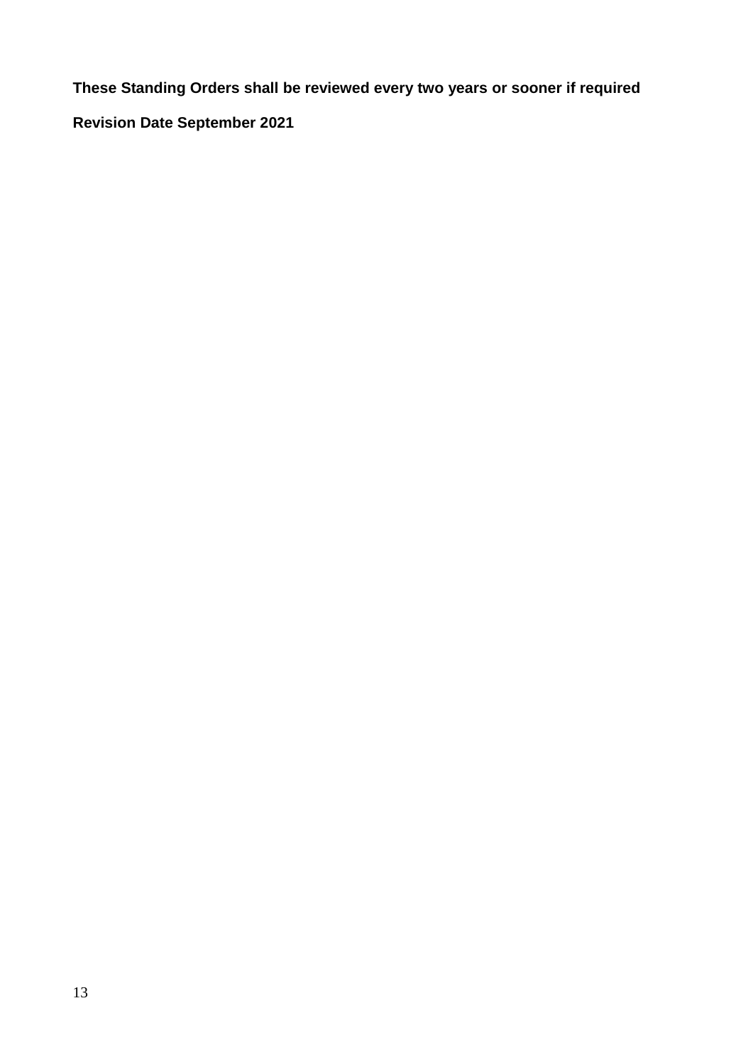**These Standing Orders shall be reviewed every two years or sooner if required**

**Revision Date September 2021**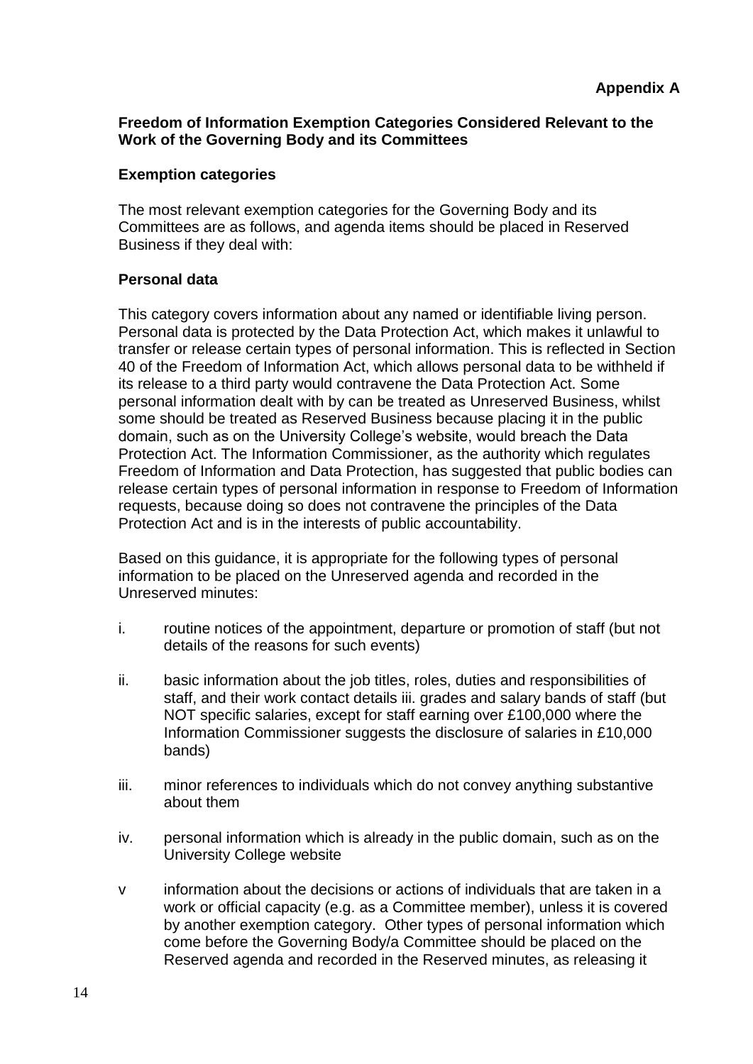## **Freedom of Information Exemption Categories Considered Relevant to the Work of the Governing Body and its Committees**

## **Exemption categories**

The most relevant exemption categories for the Governing Body and its Committees are as follows, and agenda items should be placed in Reserved Business if they deal with:

## **Personal data**

This category covers information about any named or identifiable living person. Personal data is protected by the Data Protection Act, which makes it unlawful to transfer or release certain types of personal information. This is reflected in Section 40 of the Freedom of Information Act, which allows personal data to be withheld if its release to a third party would contravene the Data Protection Act. Some personal information dealt with by can be treated as Unreserved Business, whilst some should be treated as Reserved Business because placing it in the public domain, such as on the University College's website, would breach the Data Protection Act. The Information Commissioner, as the authority which regulates Freedom of Information and Data Protection, has suggested that public bodies can release certain types of personal information in response to Freedom of Information requests, because doing so does not contravene the principles of the Data Protection Act and is in the interests of public accountability.

Based on this guidance, it is appropriate for the following types of personal information to be placed on the Unreserved agenda and recorded in the Unreserved minutes:

- i. routine notices of the appointment, departure or promotion of staff (but not details of the reasons for such events)
- ii. basic information about the job titles, roles, duties and responsibilities of staff, and their work contact details iii. grades and salary bands of staff (but NOT specific salaries, except for staff earning over £100,000 where the Information Commissioner suggests the disclosure of salaries in £10,000 bands)
- iii. minor references to individuals which do not convey anything substantive about them
- iv. personal information which is already in the public domain, such as on the University College website
- v information about the decisions or actions of individuals that are taken in a work or official capacity (e.g. as a Committee member), unless it is covered by another exemption category. Other types of personal information which come before the Governing Body/a Committee should be placed on the Reserved agenda and recorded in the Reserved minutes, as releasing it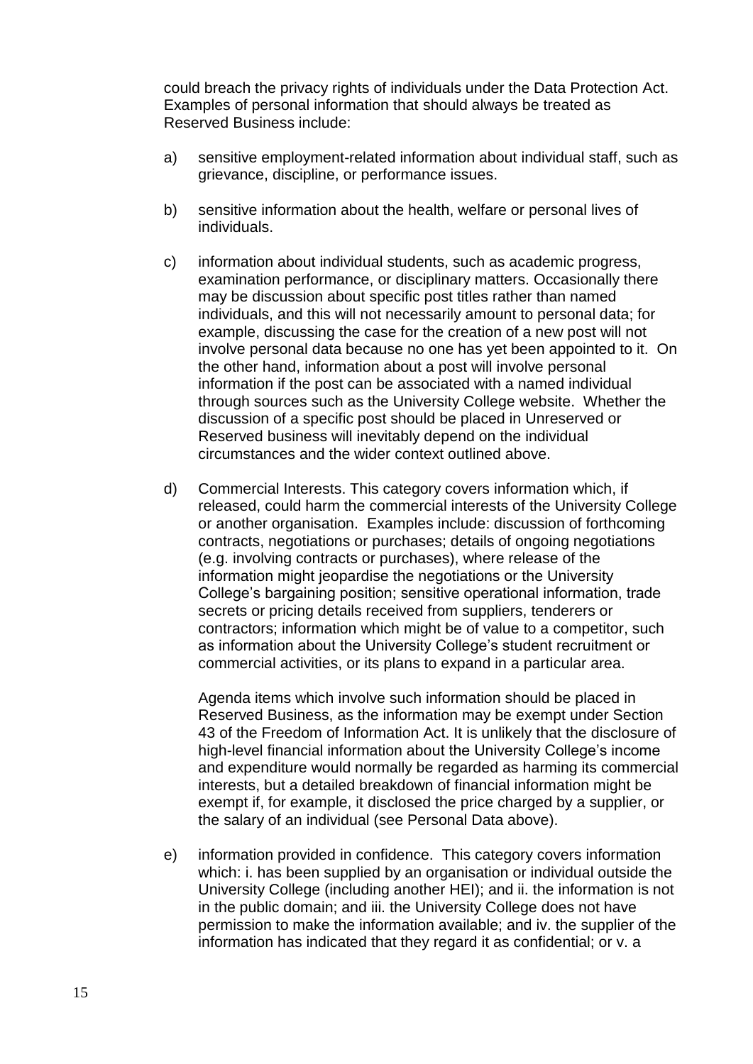could breach the privacy rights of individuals under the Data Protection Act. Examples of personal information that should always be treated as Reserved Business include:

- a) sensitive employment-related information about individual staff, such as grievance, discipline, or performance issues.
- b) sensitive information about the health, welfare or personal lives of individuals.
- c) information about individual students, such as academic progress, examination performance, or disciplinary matters. Occasionally there may be discussion about specific post titles rather than named individuals, and this will not necessarily amount to personal data; for example, discussing the case for the creation of a new post will not involve personal data because no one has yet been appointed to it. On the other hand, information about a post will involve personal information if the post can be associated with a named individual through sources such as the University College website. Whether the discussion of a specific post should be placed in Unreserved or Reserved business will inevitably depend on the individual circumstances and the wider context outlined above.
- d) Commercial Interests. This category covers information which, if released, could harm the commercial interests of the University College or another organisation. Examples include: discussion of forthcoming contracts, negotiations or purchases; details of ongoing negotiations (e.g. involving contracts or purchases), where release of the information might jeopardise the negotiations or the University College's bargaining position; sensitive operational information, trade secrets or pricing details received from suppliers, tenderers or contractors; information which might be of value to a competitor, such as information about the University College's student recruitment or commercial activities, or its plans to expand in a particular area.

Agenda items which involve such information should be placed in Reserved Business, as the information may be exempt under Section 43 of the Freedom of Information Act. It is unlikely that the disclosure of high-level financial information about the University College's income and expenditure would normally be regarded as harming its commercial interests, but a detailed breakdown of financial information might be exempt if, for example, it disclosed the price charged by a supplier, or the salary of an individual (see Personal Data above).

e) information provided in confidence. This category covers information which: i. has been supplied by an organisation or individual outside the University College (including another HEI); and ii. the information is not in the public domain; and iii. the University College does not have permission to make the information available; and iv. the supplier of the information has indicated that they regard it as confidential; or v. a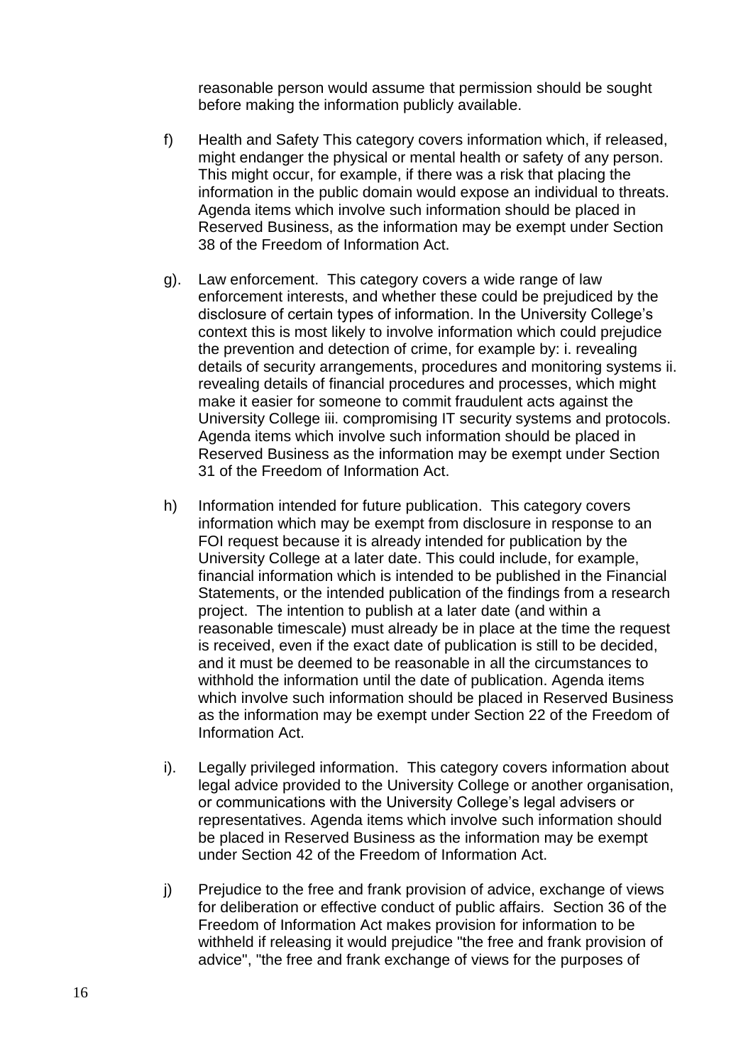reasonable person would assume that permission should be sought before making the information publicly available.

- f) Health and Safety This category covers information which, if released, might endanger the physical or mental health or safety of any person. This might occur, for example, if there was a risk that placing the information in the public domain would expose an individual to threats. Agenda items which involve such information should be placed in Reserved Business, as the information may be exempt under Section 38 of the Freedom of Information Act.
- g). Law enforcement. This category covers a wide range of law enforcement interests, and whether these could be prejudiced by the disclosure of certain types of information. In the University College's context this is most likely to involve information which could prejudice the prevention and detection of crime, for example by: i. revealing details of security arrangements, procedures and monitoring systems ii. revealing details of financial procedures and processes, which might make it easier for someone to commit fraudulent acts against the University College iii. compromising IT security systems and protocols. Agenda items which involve such information should be placed in Reserved Business as the information may be exempt under Section 31 of the Freedom of Information Act.
- h) Information intended for future publication. This category covers information which may be exempt from disclosure in response to an FOI request because it is already intended for publication by the University College at a later date. This could include, for example, financial information which is intended to be published in the Financial Statements, or the intended publication of the findings from a research project. The intention to publish at a later date (and within a reasonable timescale) must already be in place at the time the request is received, even if the exact date of publication is still to be decided, and it must be deemed to be reasonable in all the circumstances to withhold the information until the date of publication. Agenda items which involve such information should be placed in Reserved Business as the information may be exempt under Section 22 of the Freedom of Information Act.
- i). Legally privileged information. This category covers information about legal advice provided to the University College or another organisation, or communications with the University College's legal advisers or representatives. Agenda items which involve such information should be placed in Reserved Business as the information may be exempt under Section 42 of the Freedom of Information Act.
- j) Prejudice to the free and frank provision of advice, exchange of views for deliberation or effective conduct of public affairs. Section 36 of the Freedom of Information Act makes provision for information to be withheld if releasing it would prejudice "the free and frank provision of advice", "the free and frank exchange of views for the purposes of